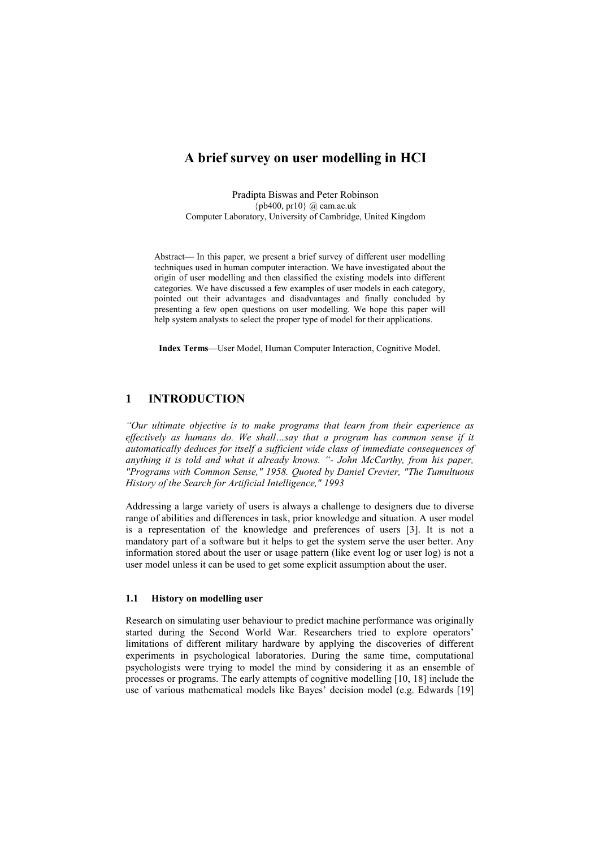# A brief survey on user modelling in HCI

Pradipta Biswas and Peter Robinson {pb400, pr10} @ cam.ac.uk Computer Laboratory, University of Cambridge, United Kingdom

Abstract— In this paper, we present a brief survey of different user modelling techniques used in human computer interaction. We have investigated about the origin of user modelling and then classified the existing models into different categories. We have discussed a few examples of user models in each category, pointed out their advantages and disadvantages and finally concluded by presenting a few open questions on user modelling. We hope this paper will help system analysts to select the proper type of model for their applications.

Index Terms—User Model, Human Computer Interaction, Cognitive Model.

# 1 INTRODUCTION

"Our ultimate objective is to make programs that learn from their experience as effectively as humans do. We shall…say that a program has common sense if it automatically deduces for itself a sufficient wide class of immediate consequences of anything it is told and what it already knows. "- John McCarthy, from his paper, "Programs with Common Sense," 1958. Quoted by Daniel Crevier, "The Tumultuous History of the Search for Artificial Intelligence," 1993

Addressing a large variety of users is always a challenge to designers due to diverse range of abilities and differences in task, prior knowledge and situation. A user model is a representation of the knowledge and preferences of users [3]. It is not a mandatory part of a software but it helps to get the system serve the user better. Any information stored about the user or usage pattern (like event log or user log) is not a user model unless it can be used to get some explicit assumption about the user.

#### 1.1 History on modelling user

Research on simulating user behaviour to predict machine performance was originally started during the Second World War. Researchers tried to explore operators' limitations of different military hardware by applying the discoveries of different experiments in psychological laboratories. During the same time, computational psychologists were trying to model the mind by considering it as an ensemble of processes or programs. The early attempts of cognitive modelling [10, 18] include the use of various mathematical models like Bayes' decision model (e.g. Edwards [19]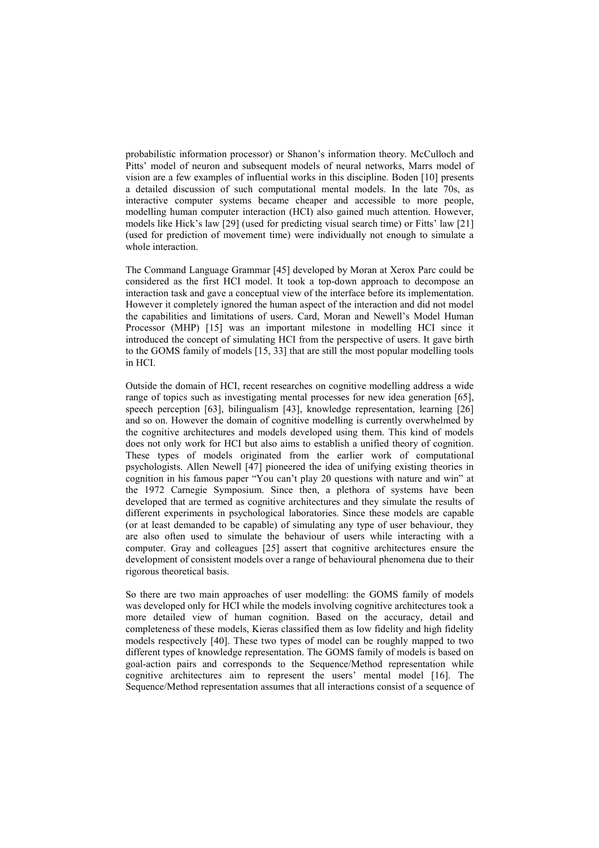probabilistic information processor) or Shanon's information theory. McCulloch and Pitts' model of neuron and subsequent models of neural networks, Marrs model of vision are a few examples of influential works in this discipline. Boden [10] presents a detailed discussion of such computational mental models. In the late 70s, as interactive computer systems became cheaper and accessible to more people, modelling human computer interaction (HCI) also gained much attention. However, models like Hick's law [29] (used for predicting visual search time) or Fitts' law [21] (used for prediction of movement time) were individually not enough to simulate a whole interaction

The Command Language Grammar [45] developed by Moran at Xerox Parc could be considered as the first HCI model. It took a top-down approach to decompose an interaction task and gave a conceptual view of the interface before its implementation. However it completely ignored the human aspect of the interaction and did not model the capabilities and limitations of users. Card, Moran and Newell's Model Human Processor (MHP) [15] was an important milestone in modelling HCI since it introduced the concept of simulating HCI from the perspective of users. It gave birth to the GOMS family of models [15, 33] that are still the most popular modelling tools in HCI.

Outside the domain of HCI, recent researches on cognitive modelling address a wide range of topics such as investigating mental processes for new idea generation [65], speech perception [63], bilingualism [43], knowledge representation, learning [26] and so on. However the domain of cognitive modelling is currently overwhelmed by the cognitive architectures and models developed using them. This kind of models does not only work for HCI but also aims to establish a unified theory of cognition. These types of models originated from the earlier work of computational psychologists. Allen Newell [47] pioneered the idea of unifying existing theories in cognition in his famous paper "You can't play 20 questions with nature and win" at the 1972 Carnegie Symposium. Since then, a plethora of systems have been developed that are termed as cognitive architectures and they simulate the results of different experiments in psychological laboratories. Since these models are capable (or at least demanded to be capable) of simulating any type of user behaviour, they are also often used to simulate the behaviour of users while interacting with a computer. Gray and colleagues [25] assert that cognitive architectures ensure the development of consistent models over a range of behavioural phenomena due to their rigorous theoretical basis.

So there are two main approaches of user modelling: the GOMS family of models was developed only for HCI while the models involving cognitive architectures took a more detailed view of human cognition. Based on the accuracy, detail and completeness of these models, Kieras classified them as low fidelity and high fidelity models respectively [40]. These two types of model can be roughly mapped to two different types of knowledge representation. The GOMS family of models is based on goal-action pairs and corresponds to the Sequence/Method representation while cognitive architectures aim to represent the users' mental model [16]. The Sequence/Method representation assumes that all interactions consist of a sequence of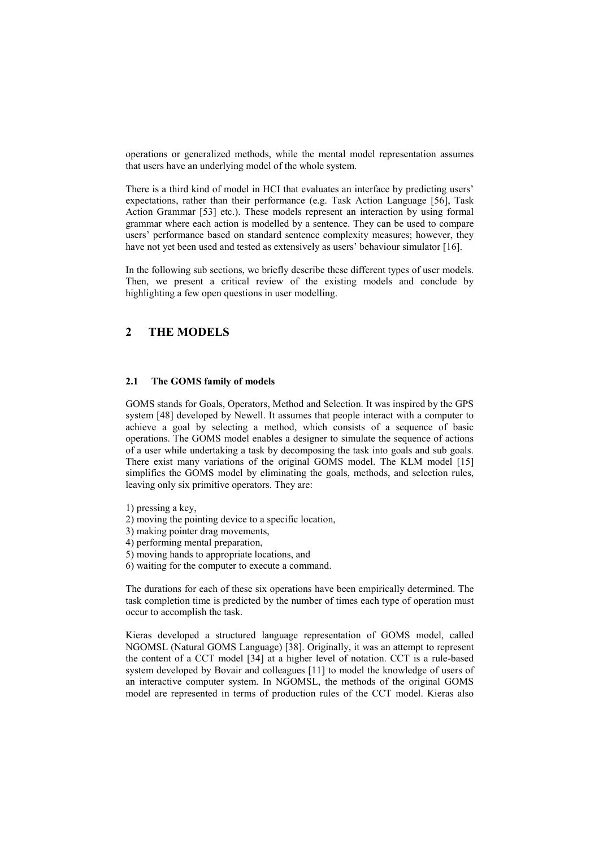operations or generalized methods, while the mental model representation assumes that users have an underlying model of the whole system.

There is a third kind of model in HCI that evaluates an interface by predicting users' expectations, rather than their performance (e.g. Task Action Language [56], Task Action Grammar [53] etc.). These models represent an interaction by using formal grammar where each action is modelled by a sentence. They can be used to compare users' performance based on standard sentence complexity measures; however, they have not yet been used and tested as extensively as users' behaviour simulator [16].

In the following sub sections, we briefly describe these different types of user models. Then, we present a critical review of the existing models and conclude by highlighting a few open questions in user modelling.

# 2 THE MODELS

#### 2.1 The GOMS family of models

GOMS stands for Goals, Operators, Method and Selection. It was inspired by the GPS system [48] developed by Newell. It assumes that people interact with a computer to achieve a goal by selecting a method, which consists of a sequence of basic operations. The GOMS model enables a designer to simulate the sequence of actions of a user while undertaking a task by decomposing the task into goals and sub goals. There exist many variations of the original GOMS model. The KLM model [15] simplifies the GOMS model by eliminating the goals, methods, and selection rules, leaving only six primitive operators. They are:

- 1) pressing a key,
- 2) moving the pointing device to a specific location,
- 3) making pointer drag movements,
- 4) performing mental preparation,
- 5) moving hands to appropriate locations, and
- 6) waiting for the computer to execute a command.

The durations for each of these six operations have been empirically determined. The task completion time is predicted by the number of times each type of operation must occur to accomplish the task.

Kieras developed a structured language representation of GOMS model, called NGOMSL (Natural GOMS Language) [38]. Originally, it was an attempt to represent the content of a CCT model [34] at a higher level of notation. CCT is a rule-based system developed by Bovair and colleagues [11] to model the knowledge of users of an interactive computer system. In NGOMSL, the methods of the original GOMS model are represented in terms of production rules of the CCT model. Kieras also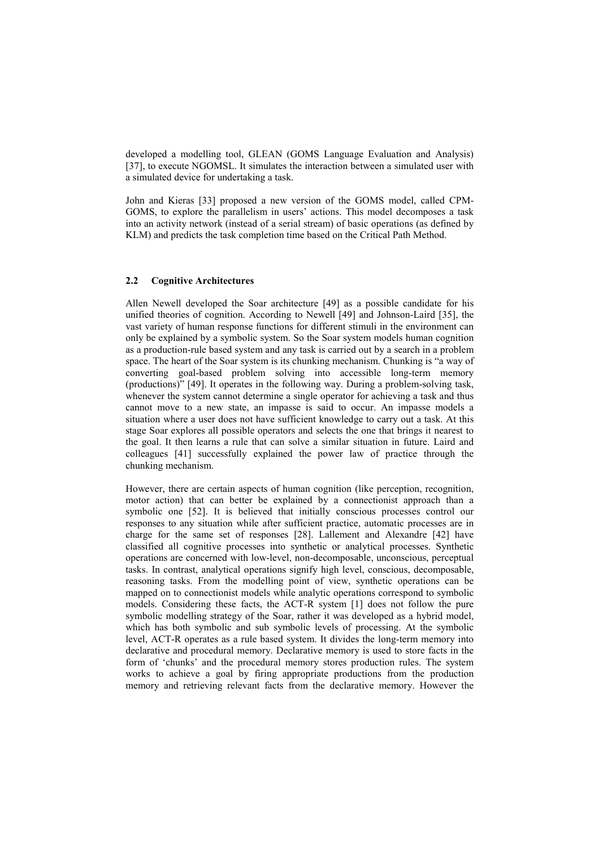developed a modelling tool, GLEAN (GOMS Language Evaluation and Analysis) [37], to execute NGOMSL. It simulates the interaction between a simulated user with a simulated device for undertaking a task.

John and Kieras [33] proposed a new version of the GOMS model, called CPM-GOMS, to explore the parallelism in users' actions. This model decomposes a task into an activity network (instead of a serial stream) of basic operations (as defined by KLM) and predicts the task completion time based on the Critical Path Method.

### 2.2 Cognitive Architectures

Allen Newell developed the Soar architecture [49] as a possible candidate for his unified theories of cognition. According to Newell [49] and Johnson-Laird [35], the vast variety of human response functions for different stimuli in the environment can only be explained by a symbolic system. So the Soar system models human cognition as a production-rule based system and any task is carried out by a search in a problem space. The heart of the Soar system is its chunking mechanism. Chunking is "a way of converting goal-based problem solving into accessible long-term memory (productions)" [49]. It operates in the following way. During a problem-solving task, whenever the system cannot determine a single operator for achieving a task and thus cannot move to a new state, an impasse is said to occur. An impasse models a situation where a user does not have sufficient knowledge to carry out a task. At this stage Soar explores all possible operators and selects the one that brings it nearest to the goal. It then learns a rule that can solve a similar situation in future. Laird and colleagues [41] successfully explained the power law of practice through the chunking mechanism.

However, there are certain aspects of human cognition (like perception, recognition, motor action) that can better be explained by a connectionist approach than a symbolic one [52]. It is believed that initially conscious processes control our responses to any situation while after sufficient practice, automatic processes are in charge for the same set of responses [28]. Lallement and Alexandre [42] have classified all cognitive processes into synthetic or analytical processes. Synthetic operations are concerned with low-level, non-decomposable, unconscious, perceptual tasks. In contrast, analytical operations signify high level, conscious, decomposable, reasoning tasks. From the modelling point of view, synthetic operations can be mapped on to connectionist models while analytic operations correspond to symbolic models. Considering these facts, the ACT-R system [1] does not follow the pure symbolic modelling strategy of the Soar, rather it was developed as a hybrid model, which has both symbolic and sub symbolic levels of processing. At the symbolic level, ACT-R operates as a rule based system. It divides the long-term memory into declarative and procedural memory. Declarative memory is used to store facts in the form of 'chunks' and the procedural memory stores production rules. The system works to achieve a goal by firing appropriate productions from the production memory and retrieving relevant facts from the declarative memory. However the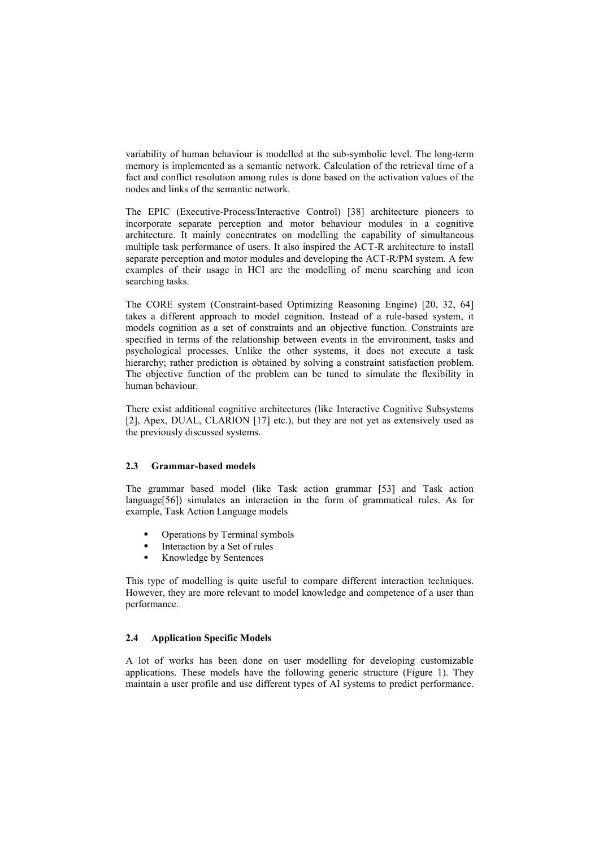variability of human behaviour is modelled at the sub-symbolic level. The long-term memory is implemented as a semantic network. Calculation of the retrieval time of a fact and conflict resolution among rules is done based on the activation values of the nodes and links of the semantic network.

The EPIC (Executive-Process/Interactive Control) [38] architecture pioneers to incorporate separate perception and motor behaviour modules in a cognitive architecture. It mainly concentrates on modelling the capability of simultaneous multiple task performance of users. It also inspired the ACT-R architecture to install separate perception and motor modules and developing the ACT-R/PM system. A few examples of their usage in HCI are the modelling of menu searching and icon searching tasks.

The CORE system (Constraint-based Optimizing Reasoning Engine) [20, 32, 64] takes a different approach to model cognition. Instead of a rule-based system, it models cognition as a set of constraints and an objective function. Constraints are specified in terms of the relationship between events in the environment, tasks and psychological processes. Unlike the other systems, it does not execute a task hierarchy; rather prediction is obtained by solving a constraint satisfaction problem. The objective function of the problem can be tuned to simulate the flexibility in human behaviour.

There exist additional cognitive architectures (like Interactive Cognitive Subsystems [2], Apex, DUAL, CLARION [17] etc.), but they are not yet as extensively used as the previously discussed systems.

## 2.3 Grammar-based models

The grammar based model (like Task action grammar [53] and Task action language[56]) simulates an interaction in the form of grammatical rules. As for example, Task Action Language models

- Operations by Terminal symbols
- Interaction by a Set of rules
- Knowledge by Sentences

This type of modelling is quite useful to compare different interaction techniques. However, they are more relevant to model knowledge and competence of a user than performance.

## 2.4 Application Specific Models

A lot of works has been done on user modelling for developing customizable applications. These models have the following generic structure (Figure 1). They maintain a user profile and use different types of AI systems to predict performance.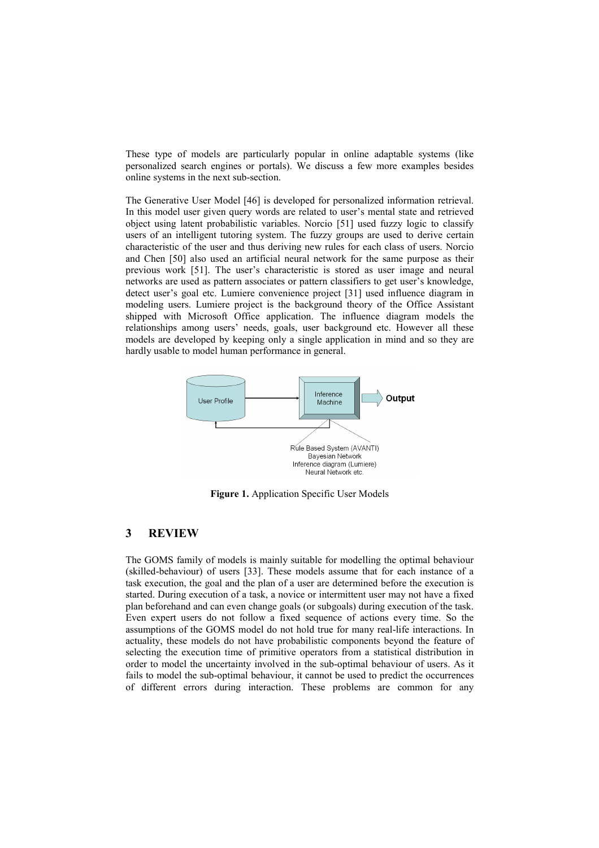These type of models are particularly popular in online adaptable systems (like personalized search engines or portals). We discuss a few more examples besides online systems in the next sub-section.

The Generative User Model [46] is developed for personalized information retrieval. In this model user given query words are related to user's mental state and retrieved object using latent probabilistic variables. Norcio [51] used fuzzy logic to classify users of an intelligent tutoring system. The fuzzy groups are used to derive certain characteristic of the user and thus deriving new rules for each class of users. Norcio and Chen [50] also used an artificial neural network for the same purpose as their previous work [51]. The user's characteristic is stored as user image and neural networks are used as pattern associates or pattern classifiers to get user's knowledge, detect user's goal etc. Lumiere convenience project [31] used influence diagram in modeling users. Lumiere project is the background theory of the Office Assistant shipped with Microsoft Office application. The influence diagram models the relationships among users' needs, goals, user background etc. However all these models are developed by keeping only a single application in mind and so they are hardly usable to model human performance in general.



Figure 1. Application Specific User Models

# 3 REVIEW

The GOMS family of models is mainly suitable for modelling the optimal behaviour (skilled-behaviour) of users [33]. These models assume that for each instance of a task execution, the goal and the plan of a user are determined before the execution is started. During execution of a task, a novice or intermittent user may not have a fixed plan beforehand and can even change goals (or subgoals) during execution of the task. Even expert users do not follow a fixed sequence of actions every time. So the assumptions of the GOMS model do not hold true for many real-life interactions. In actuality, these models do not have probabilistic components beyond the feature of selecting the execution time of primitive operators from a statistical distribution in order to model the uncertainty involved in the sub-optimal behaviour of users. As it fails to model the sub-optimal behaviour, it cannot be used to predict the occurrences of different errors during interaction. These problems are common for any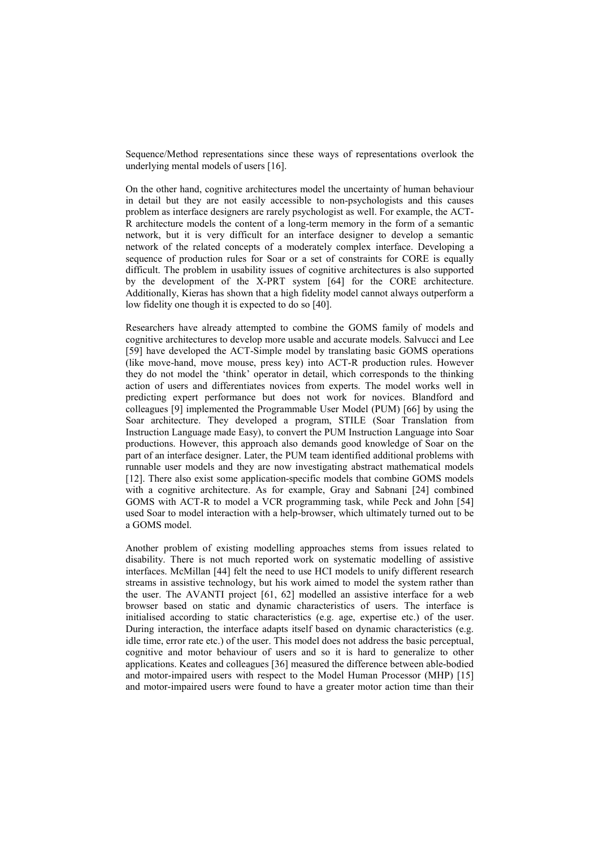Sequence/Method representations since these ways of representations overlook the underlying mental models of users [16].

On the other hand, cognitive architectures model the uncertainty of human behaviour in detail but they are not easily accessible to non-psychologists and this causes problem as interface designers are rarely psychologist as well. For example, the ACT-R architecture models the content of a long-term memory in the form of a semantic network, but it is very difficult for an interface designer to develop a semantic network of the related concepts of a moderately complex interface. Developing a sequence of production rules for Soar or a set of constraints for CORE is equally difficult. The problem in usability issues of cognitive architectures is also supported by the development of the X-PRT system [64] for the CORE architecture. Additionally, Kieras has shown that a high fidelity model cannot always outperform a low fidelity one though it is expected to do so [40].

Researchers have already attempted to combine the GOMS family of models and cognitive architectures to develop more usable and accurate models. Salvucci and Lee [59] have developed the ACT-Simple model by translating basic GOMS operations (like move-hand, move mouse, press key) into ACT-R production rules. However they do not model the 'think' operator in detail, which corresponds to the thinking action of users and differentiates novices from experts. The model works well in predicting expert performance but does not work for novices. Blandford and colleagues [9] implemented the Programmable User Model (PUM) [66] by using the Soar architecture. They developed a program, STILE (Soar Translation from Instruction Language made Easy), to convert the PUM Instruction Language into Soar productions. However, this approach also demands good knowledge of Soar on the part of an interface designer. Later, the PUM team identified additional problems with runnable user models and they are now investigating abstract mathematical models [12]. There also exist some application-specific models that combine GOMS models with a cognitive architecture. As for example, Gray and Sabnani [24] combined GOMS with ACT-R to model a VCR programming task, while Peck and John [54] used Soar to model interaction with a help-browser, which ultimately turned out to be a GOMS model.

Another problem of existing modelling approaches stems from issues related to disability. There is not much reported work on systematic modelling of assistive interfaces. McMillan [44] felt the need to use HCI models to unify different research streams in assistive technology, but his work aimed to model the system rather than the user. The AVANTI project [61, 62] modelled an assistive interface for a web browser based on static and dynamic characteristics of users. The interface is initialised according to static characteristics (e.g. age, expertise etc.) of the user. During interaction, the interface adapts itself based on dynamic characteristics (e.g. idle time, error rate etc.) of the user. This model does not address the basic perceptual, cognitive and motor behaviour of users and so it is hard to generalize to other applications. Keates and colleagues [36] measured the difference between able-bodied and motor-impaired users with respect to the Model Human Processor (MHP) [15] and motor-impaired users were found to have a greater motor action time than their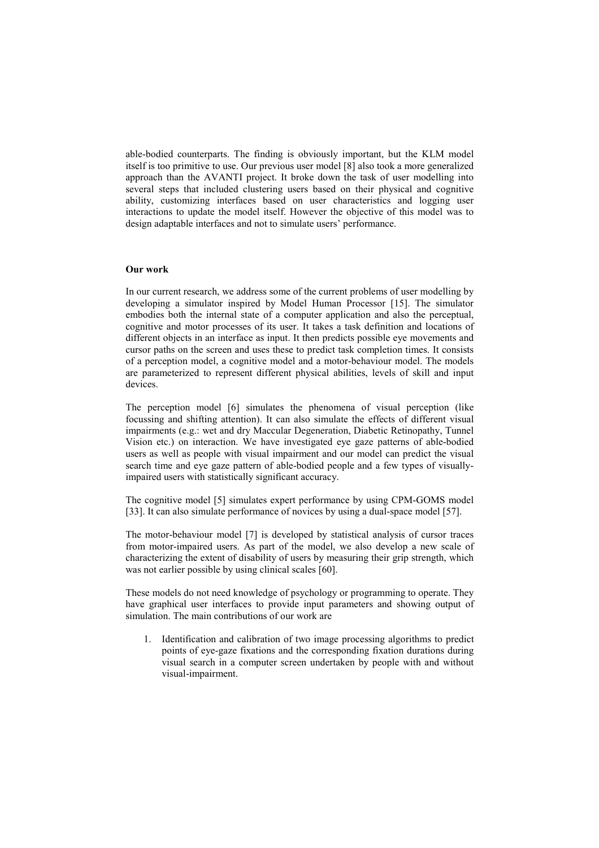able-bodied counterparts. The finding is obviously important, but the KLM model itself is too primitive to use. Our previous user model [8] also took a more generalized approach than the AVANTI project. It broke down the task of user modelling into several steps that included clustering users based on their physical and cognitive ability, customizing interfaces based on user characteristics and logging user interactions to update the model itself. However the objective of this model was to design adaptable interfaces and not to simulate users' performance.

## Our work

In our current research, we address some of the current problems of user modelling by developing a simulator inspired by Model Human Processor [15]. The simulator embodies both the internal state of a computer application and also the perceptual, cognitive and motor processes of its user. It takes a task definition and locations of different objects in an interface as input. It then predicts possible eye movements and cursor paths on the screen and uses these to predict task completion times. It consists of a perception model, a cognitive model and a motor-behaviour model. The models are parameterized to represent different physical abilities, levels of skill and input devices.

The perception model [6] simulates the phenomena of visual perception (like focussing and shifting attention). It can also simulate the effects of different visual impairments (e.g.: wet and dry Maccular Degeneration, Diabetic Retinopathy, Tunnel Vision etc.) on interaction. We have investigated eye gaze patterns of able-bodied users as well as people with visual impairment and our model can predict the visual search time and eye gaze pattern of able-bodied people and a few types of visuallyimpaired users with statistically significant accuracy.

The cognitive model [5] simulates expert performance by using CPM-GOMS model [33]. It can also simulate performance of novices by using a dual-space model [57].

The motor-behaviour model [7] is developed by statistical analysis of cursor traces from motor-impaired users. As part of the model, we also develop a new scale of characterizing the extent of disability of users by measuring their grip strength, which was not earlier possible by using clinical scales [60].

These models do not need knowledge of psychology or programming to operate. They have graphical user interfaces to provide input parameters and showing output of simulation. The main contributions of our work are

1. Identification and calibration of two image processing algorithms to predict points of eye-gaze fixations and the corresponding fixation durations during visual search in a computer screen undertaken by people with and without visual-impairment.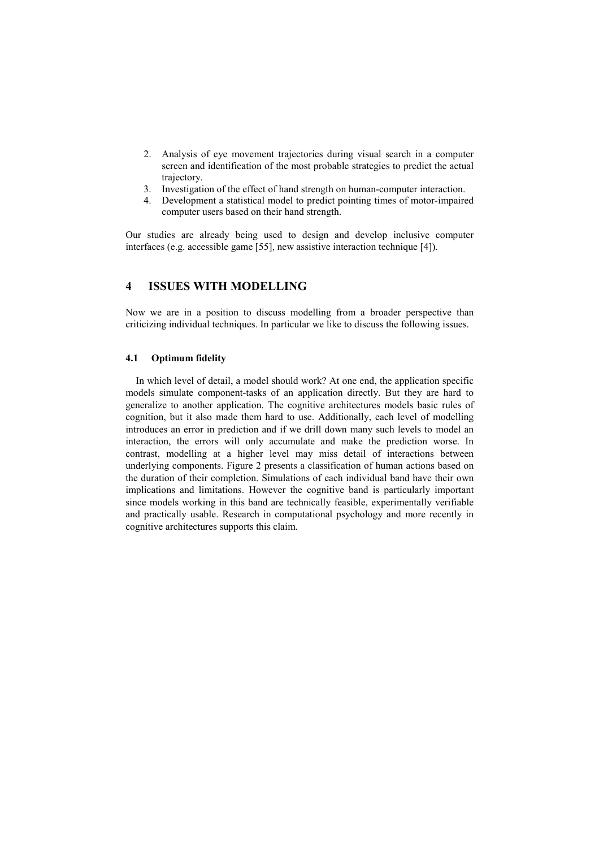- 2. Analysis of eye movement trajectories during visual search in a computer screen and identification of the most probable strategies to predict the actual trajectory.
- 3. Investigation of the effect of hand strength on human-computer interaction.
- 4. Development a statistical model to predict pointing times of motor-impaired computer users based on their hand strength.

Our studies are already being used to design and develop inclusive computer interfaces (e.g. accessible game [55], new assistive interaction technique [4]).

# 4 ISSUES WITH MODELLING

Now we are in a position to discuss modelling from a broader perspective than criticizing individual techniques. In particular we like to discuss the following issues.

## 4.1 Optimum fidelity

In which level of detail, a model should work? At one end, the application specific models simulate component-tasks of an application directly. But they are hard to generalize to another application. The cognitive architectures models basic rules of cognition, but it also made them hard to use. Additionally, each level of modelling introduces an error in prediction and if we drill down many such levels to model an interaction, the errors will only accumulate and make the prediction worse. In contrast, modelling at a higher level may miss detail of interactions between underlying components. Figure 2 presents a classification of human actions based on the duration of their completion. Simulations of each individual band have their own implications and limitations. However the cognitive band is particularly important since models working in this band are technically feasible, experimentally verifiable and practically usable. Research in computational psychology and more recently in cognitive architectures supports this claim.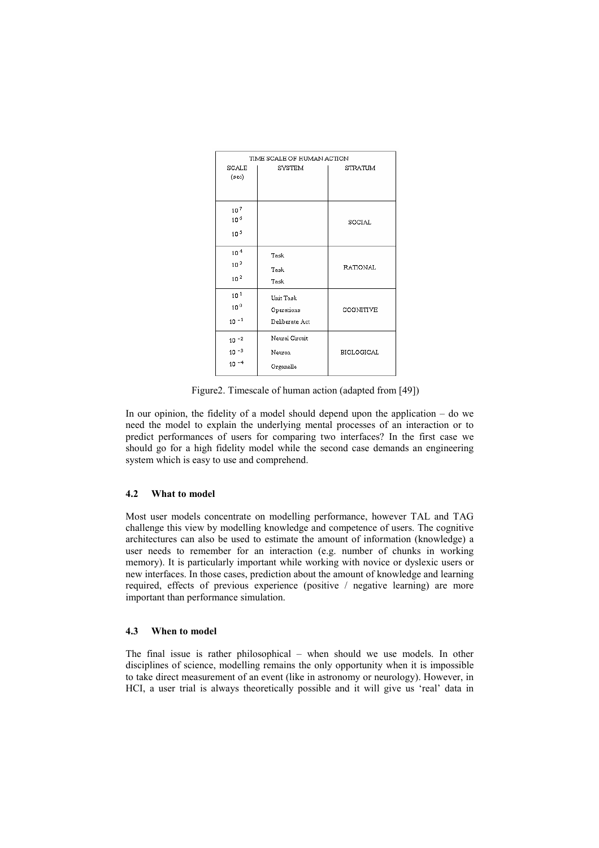| TIME SCALE OF HUMAN ACTION |                |                   |
|----------------------------|----------------|-------------------|
| <b>SCALE</b>               | <b>SYSTEM</b>  | <b>STRATUM</b>    |
| $(\sec)$                   |                |                   |
|                            |                |                   |
| 10 <sup>7</sup>            |                |                   |
| 10 <sup>6</sup>            |                | <b>SOCIAL</b>     |
| 10 <sup>5</sup>            |                |                   |
| 10 <sup>4</sup>            | Task           |                   |
| $10^{3}$                   | Task           | <b>RATIONAL</b>   |
| 10 <sup>2</sup>            | Task           |                   |
| 10 <sup>1</sup>            | Unit Task      |                   |
| 10 <sup>0</sup>            | Operations     | COGNITIVE         |
| $10 - 1$                   | Deliberate Act |                   |
| $10 - 2$                   | Neural Circuit |                   |
| $10 - 3$                   | Neuron         | <b>BIOLOGICAL</b> |
| $10 - 4$                   | Organelle      |                   |

Figure2. Timescale of human action (adapted from [49])

In our opinion, the fidelity of a model should depend upon the application  $-$  do we need the model to explain the underlying mental processes of an interaction or to predict performances of users for comparing two interfaces? In the first case we should go for a high fidelity model while the second case demands an engineering system which is easy to use and comprehend.

## 4.2 What to model

Most user models concentrate on modelling performance, however TAL and TAG challenge this view by modelling knowledge and competence of users. The cognitive architectures can also be used to estimate the amount of information (knowledge) a user needs to remember for an interaction (e.g. number of chunks in working memory). It is particularly important while working with novice or dyslexic users or new interfaces. In those cases, prediction about the amount of knowledge and learning required, effects of previous experience (positive / negative learning) are more important than performance simulation.

#### 4.3 When to model

The final issue is rather philosophical – when should we use models. In other disciplines of science, modelling remains the only opportunity when it is impossible to take direct measurement of an event (like in astronomy or neurology). However, in HCI, a user trial is always theoretically possible and it will give us 'real' data in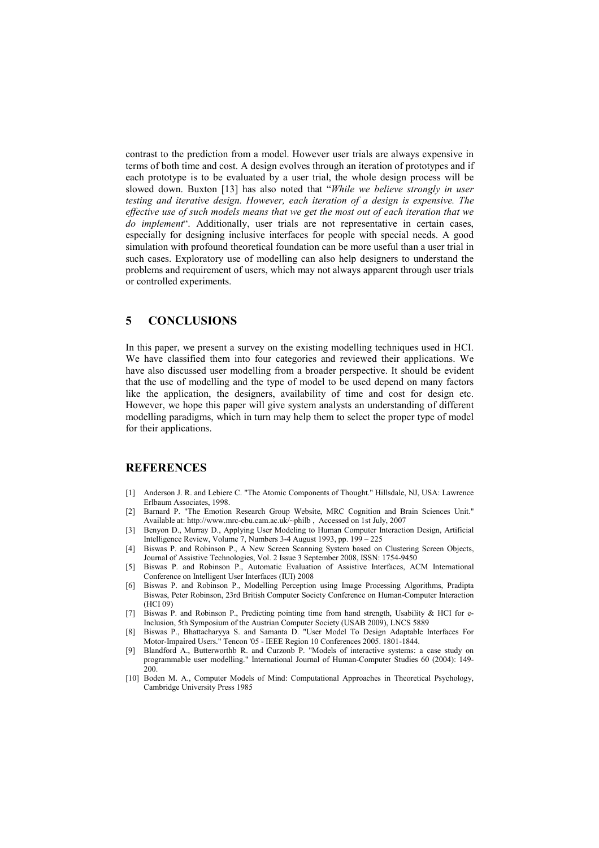contrast to the prediction from a model. However user trials are always expensive in terms of both time and cost. A design evolves through an iteration of prototypes and if each prototype is to be evaluated by a user trial, the whole design process will be slowed down. Buxton [13] has also noted that "While we believe strongly in user testing and iterative design. However, each iteration of a design is expensive. The effective use of such models means that we get the most out of each iteration that we do *implement*". Additionally, user trials are not representative in certain cases, especially for designing inclusive interfaces for people with special needs. A good simulation with profound theoretical foundation can be more useful than a user trial in such cases. Exploratory use of modelling can also help designers to understand the problems and requirement of users, which may not always apparent through user trials or controlled experiments.

# 5 CONCLUSIONS

In this paper, we present a survey on the existing modelling techniques used in HCI. We have classified them into four categories and reviewed their applications. We have also discussed user modelling from a broader perspective. It should be evident that the use of modelling and the type of model to be used depend on many factors like the application, the designers, availability of time and cost for design etc. However, we hope this paper will give system analysts an understanding of different modelling paradigms, which in turn may help them to select the proper type of model for their applications.

# **REFERENCES**

- [1] Anderson J. R. and Lebiere C. "The Atomic Components of Thought." Hillsdale, NJ, USA: Lawrence Erlbaum Associates, 1998.
- [2] Barnard P. "The Emotion Research Group Website, MRC Cognition and Brain Sciences Unit." Available at: http://www.mrc-cbu.cam.ac.uk/~philb , Accessed on 1st July, 2007
- [3] Benyon D., Murray D., Applying User Modeling to Human Computer Interaction Design, Artificial Intelligence Review, Volume 7, Numbers 3-4 August 1993, pp. 199 – 225
- [4] Biswas P. and Robinson P., A New Screen Scanning System based on Clustering Screen Objects, Journal of Assistive Technologies, Vol. 2 Issue 3 September 2008, ISSN: 1754-9450
- [5] Biswas P. and Robinson P., Automatic Evaluation of Assistive Interfaces, ACM International Conference on Intelligent User Interfaces (IUI) 2008
- [6] Biswas P. and Robinson P., Modelling Perception using Image Processing Algorithms, Pradipta Biswas, Peter Robinson, 23rd British Computer Society Conference on Human-Computer Interaction (HCI 09)
- [7] Biswas P. and Robinson P., Predicting pointing time from hand strength, Usability & HCI for e-Inclusion, 5th Symposium of the Austrian Computer Society (USAB 2009), LNCS 5889
- [8] Biswas P., Bhattacharyya S. and Samanta D. "User Model To Design Adaptable Interfaces For Motor-Impaired Users." Tencon '05 - IEEE Region 10 Conferences 2005. 1801-1844.
- [9] Blandford A., Butterworthb R. and Curzonb P. "Models of interactive systems: a case study on programmable user modelling." International Journal of Human-Computer Studies 60 (2004): 149- 200.
- [10] Boden M. A., Computer Models of Mind: Computational Approaches in Theoretical Psychology, Cambridge University Press 1985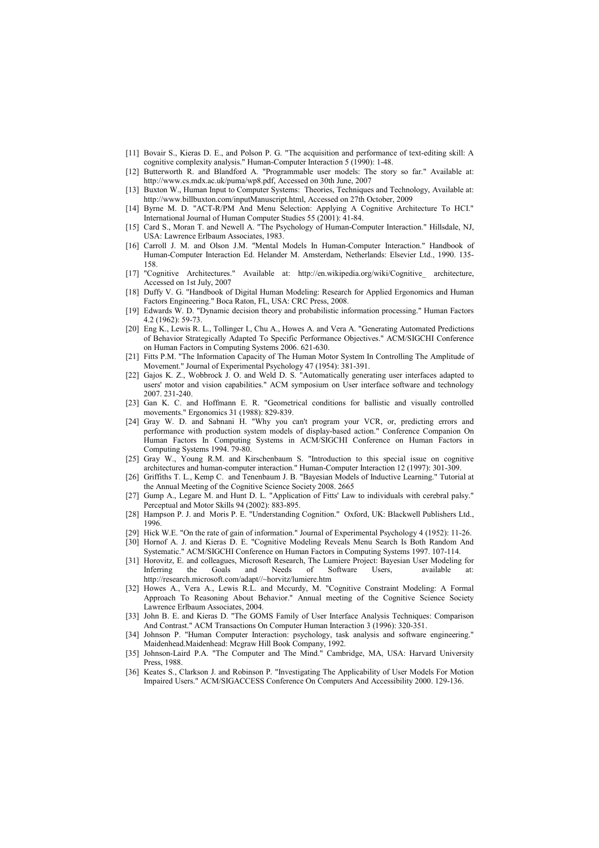- [11] Bovair S., Kieras D. E., and Polson P. G. "The acquisition and performance of text-editing skill: A cognitive complexity analysis." Human-Computer Interaction 5 (1990): 1-48.
- [12] Butterworth R. and Blandford A. "Programmable user models: The story so far." Available at: http://www.cs.mdx.ac.uk/puma/wp8.pdf, Accessed on 30th June, 2007
- [13] Buxton W., Human Input to Computer Systems: Theories, Techniques and Technology, Available at: http://www.billbuxton.com/inputManuscript.html, Accessed on 27th October, 2009
- [14] Byrne M. D. "ACT-R/PM And Menu Selection: Applying A Cognitive Architecture To HCI." International Journal of Human Computer Studies 55 (2001): 41-84.
- [15] Card S., Moran T. and Newell A. "The Psychology of Human-Computer Interaction." Hillsdale, NJ, USA: Lawrence Erlbaum Associates, 1983.
- [16] Carroll J. M. and Olson J.M. "Mental Models In Human-Computer Interaction." Handbook of Human-Computer Interaction Ed. Helander M. Amsterdam, Netherlands: Elsevier Ltd., 1990. 135- 158.
- [17] "Cognitive Architectures." Available at: http://en.wikipedia.org/wiki/Cognitive\_ architecture, Accessed on 1st July, 2007
- [18] Duffy V. G. "Handbook of Digital Human Modeling: Research for Applied Ergonomics and Human Factors Engineering." Boca Raton, FL, USA: CRC Press, 2008.
- [19] Edwards W. D. "Dynamic decision theory and probabilistic information processing." Human Factors 4.2 (1962): 59-73.
- [20] Eng K., Lewis R. L., Tollinger I., Chu A., Howes A. and Vera A. "Generating Automated Predictions of Behavior Strategically Adapted To Specific Performance Objectives." ACM/SIGCHI Conference on Human Factors in Computing Systems 2006. 621-630.
- [21] Fitts P.M. "The Information Capacity of The Human Motor System In Controlling The Amplitude of Movement." Journal of Experimental Psychology 47 (1954): 381-391.
- [22] Gajos K. Z., Wobbrock J. O. and Weld D. S. "Automatically generating user interfaces adapted to users' motor and vision capabilities." ACM symposium on User interface software and technology 2007. 231-240.
- [23] Gan K. C. and Hoffmann E. R. "Geometrical conditions for ballistic and visually controlled movements." Ergonomics 31 (1988): 829-839.
- [24] Gray W. D. and Sabnani H. "Why you can't program your VCR, or, predicting errors and performance with production system models of display-based action." Conference Companion On Human Factors In Computing Systems in ACM/SIGCHI Conference on Human Factors in Computing Systems 1994. 79-80.
- [25] Gray W., Young R.M. and Kirschenbaum S. "Introduction to this special issue on cognitive architectures and human-computer interaction." Human-Computer Interaction 12 (1997): 301-309.
- [26] Griffiths T. L., Kemp C. and Tenenbaum J. B. "Bayesian Models of Inductive Learning." Tutorial at the Annual Meeting of the Cognitive Science Society 2008. 2665
- [27] Gump A., Legare M. and Hunt D. L. "Application of Fitts' Law to individuals with cerebral palsy." Perceptual and Motor Skills 94 (2002): 883-895.
- [28] Hampson P. J. and Moris P. E. "Understanding Cognition." Oxford, UK: Blackwell Publishers Ltd., 1996.
- [29] Hick W.E. "On the rate of gain of information." Journal of Experimental Psychology 4 (1952): 11-26.
- [30] Hornof A. J. and Kieras D. E. "Cognitive Modeling Reveals Menu Search Is Both Random And Systematic." ACM/SIGCHI Conference on Human Factors in Computing Systems 1997. 107-114.
- [31] Horovitz, E. and colleagues, Microsoft Research, The Lumiere Project: Bayesian User Modeling for Inferring the Goals and Needs of Software Users, available at: http://research.microsoft.com/adapt//~horvitz/lumiere.htm
- [32] Howes A., Vera A., Lewis R.L. and Mccurdy, M. "Cognitive Constraint Modeling: A Formal Approach To Reasoning About Behavior." Annual meeting of the Cognitive Science Society Lawrence Erlbaum Associates, 2004.
- [33] John B. E. and Kieras D. "The GOMS Family of User Interface Analysis Techniques: Comparison And Contrast." ACM Transactions On Computer Human Interaction 3 (1996): 320-351.
- [34] Johnson P. "Human Computer Interaction: psychology, task analysis and software engineering." Maidenhead.Maidenhead: Mcgraw Hill Book Company, 1992.
- [35] Johnson-Laird P.A. "The Computer and The Mind." Cambridge, MA, USA: Harvard University Press, 1988.
- [36] Keates S., Clarkson J. and Robinson P. "Investigating The Applicability of User Models For Motion Impaired Users." ACM/SIGACCESS Conference On Computers And Accessibility 2000. 129-136.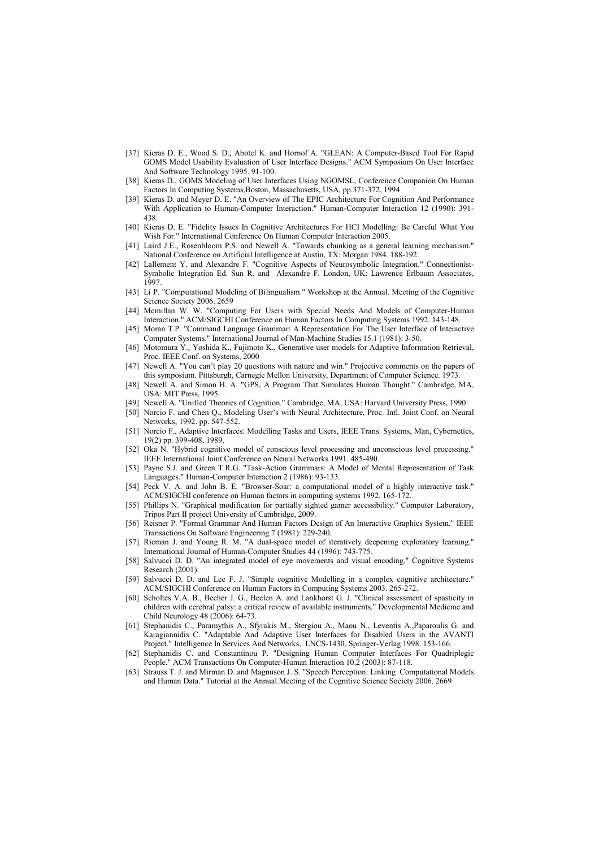- [37] Kieras D. E., Wood S. D., Abotel K. and Hornof A. "GLEAN: A Computer-Based Tool For Rapid GOMS Model Usability Evaluation of User Interface Designs." ACM Symposium On User Interface And Software Technology 1995. 91-100.
- [38] Kieras D., GOMS Modeling of User Interfaces Using NGOMSL, Conference Companion On Human Factors In Computing Systems,Boston, Massachusetts, USA, pp.371-372, 1994
- [39] Kieras D. and Meyer D. E. "An Overview of The EPIC Architecture For Cognition And Performance With Application to Human-Computer Interaction." Human-Computer Interaction 12 (1990): 391- 438.
- [40] Kieras D. E. "Fidelity Issues In Cognitive Architectures For HCI Modelling: Be Careful What You Wish For." International Conference On Human Computer Interaction 2005.
- [41] Laird J.E., Rosenbloom P.S. and Newell A. "Towards chunking as a general learning mechanism." National Conference on Artificial Intelligence at Austin, TX: Morgan 1984. 188-192.
- [42] Lallement Y. and Alexandre F. "Cognitive Aspects of Neurosymbolic Integration." Connectionist-Symbolic Integration Ed. Sun R. and Alexandre F. London, UK: Lawrence Erlbaum Associates, 1997.
- [43] Li P. "Computational Modeling of Bilingualism." Workshop at the Annual. Meeting of the Cognitive Science Society 2006. 2659
- [44] Mcmillan W. W. "Computing For Users with Special Needs And Models of Computer-Human Interaction." ACM/SIGCHI Conference on Human Factors In Computing Systems 1992. 143-148.
- [45] Moran T.P. "Command Language Grammar: A Representation For The User Interface of Interactive Computer Systems." International Journal of Man-Machine Studies 15.1 (1981): 3-50.
- [46] Motomura Y., Yoshida K., Fujimoto K., Generative user models for Adaptive Information Retrieval, Proc. IEEE Conf. on Systems, 2000
- [47] Newell A. "You can't play 20 questions with nature and win." Projective comments on the papers of this symposium. Pittsburgh, Carnegie Mellon University, Department of Computer Science. 1973.
- [48] Newell A. and Simon H. A. "GPS, A Program That Simulates Human Thought." Cambridge, MA, USA: MIT Press, 1995.
- [49] Newell A. "Unified Theories of Cognition." Cambridge, MA, USA: Harvard University Press, 1990.
- [50] Norcio F. and Chen Q., Modeling User's with Neural Architecture, Proc. Intl. Joint Conf. on Neural Networks, 1992. pp. 547-552.
- [51] Norcio F., Adaptive Interfaces: Modelling Tasks and Users, IEEE Trans. Systems, Man, Cybernetics, 19(2) pp. 399-408, 1989.
- [52] Oka N. "Hybrid cognitive model of conscious level processing and unconscious level processing." IEEE International Joint Conference on Neural Networks 1991. 485-490.
- [53] Payne S.J. and Green T.R.G. "Task-Action Grammars: A Model of Mental Representation of Task Languages." Human-Computer Interaction 2 (1986): 93-133.
- [54] Peck V. A. and John B. E. "Browser-Soar: a computational model of a highly interactive task." ACM/SIGCHI conference on Human factors in computing systems 1992. 165-172.
- [55] Phillips N. "Graphical modification for partially sighted gamer accessibility." Computer Laboratory, Tripos Part II project University of Cambridge, 2009.
- [56] Reisner P. "Formal Grammar And Human Factors Design of An Interactive Graphics System." IEEE Transactions On Software Engineering 7 (1981): 229-240.
- [57] Rieman J. and Young R. M. "A dual-space model of iteratively deepening exploratory learning." International Journal of Human-Computer Studies 44 (1996): 743-775.
- [58] Salvucci D. D. "An integrated model of eye movements and visual encoding." Cognitive Systems Research (2001):
- [59] Salvucci D. D. and Lee F. J. "Simple cognitive Modelling in a complex cognitive architecture." ACM/SIGCHI Conference on Human Factors in Computing Systems 2003. 265-272.
- [60] Scholtes V.A. B., Becher J. G., Beelen A. and Lankhorst G. J. "Clinical assessment of spasticity in children with cerebral palsy: a critical review of available instruments." Developmental Medicine and Child Neurology 48 (2006): 64-73.
- [61] Stephanidis C., Paramythis A., Sfyrakis M., Stergiou A., Maou N., Leventis A.,Paparoulis G. and Karagiannidis C. "Adaptable And Adaptive User Interfaces for Disabled Users in the AVANTI Project." Intelligence In Services And Networks, LNCS-1430, Springer-Verlag 1998. 153-166.
- [62] Stephanidis C. and Constantinou P. "Designing Human Computer Interfaces For Quadriplegic People." ACM Transactions On Computer-Human Interaction 10.2 (2003): 87-118.
- [63] Strauss T. J. and Mirman D. and Magnuson J. S. "Speech Perception: Linking Computational Models and Human Data." Tutorial at the Annual Meeting of the Cognitive Science Society 2006. 2669